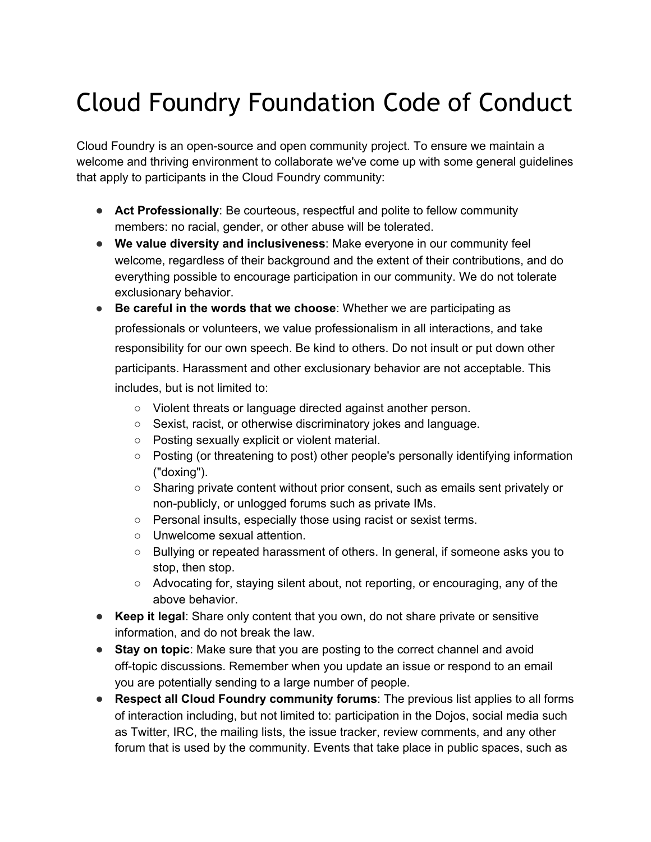## Cloud Foundry Foundation Code of Conduct

Cloud Foundry is an open-source and open community project. To ensure we maintain a welcome and thriving environment to collaborate we've come up with some general guidelines that apply to participants in the Cloud Foundry community:

- **Act Professionally**: Be courteous, respectful and polite to fellow community members: no racial, gender, or other abuse will be tolerated.
- **We value diversity and inclusiveness**: Make everyone in our community feel welcome, regardless of their background and the extent of their contributions, and do everything possible to encourage participation in our community. We do not tolerate exclusionary behavior.
- **Be careful in the words that we choose**: Whether we are participating as professionals or volunteers, we value professionalism in all interactions, and take responsibility for our own speech. Be kind to others. Do not insult or put down other participants. Harassment and other exclusionary behavior are not acceptable. This includes, but is not limited to:
	- Violent threats or language directed against another person.
	- Sexist, racist, or otherwise discriminatory jokes and language.
	- Posting sexually explicit or violent material.
	- Posting (or threatening to post) other people's personally identifying information ("doxing").
	- Sharing private content without prior consent, such as emails sent privately or non-publicly, or unlogged forums such as private IMs.
	- Personal insults, especially those using racist or sexist terms.
	- Unwelcome sexual attention.
	- Bullying or repeated harassment of others. In general, if someone asks you to stop, then stop.
	- Advocating for, staying silent about, not reporting, or encouraging, any of the above behavior.
- **Keep it legal**: Share only content that you own, do not share private or sensitive information, and do not break the law.
- **Stay on topic**: Make sure that you are posting to the correct channel and avoid off-topic discussions. Remember when you update an issue or respond to an email you are potentially sending to a large number of people.
- **Respect all Cloud Foundry community forums**: The previous list applies to all forms of interaction including, but not limited to: participation in the Dojos, social media such as Twitter, IRC, the mailing lists, the issue tracker, review comments, and any other forum that is used by the community. Events that take place in public spaces, such as